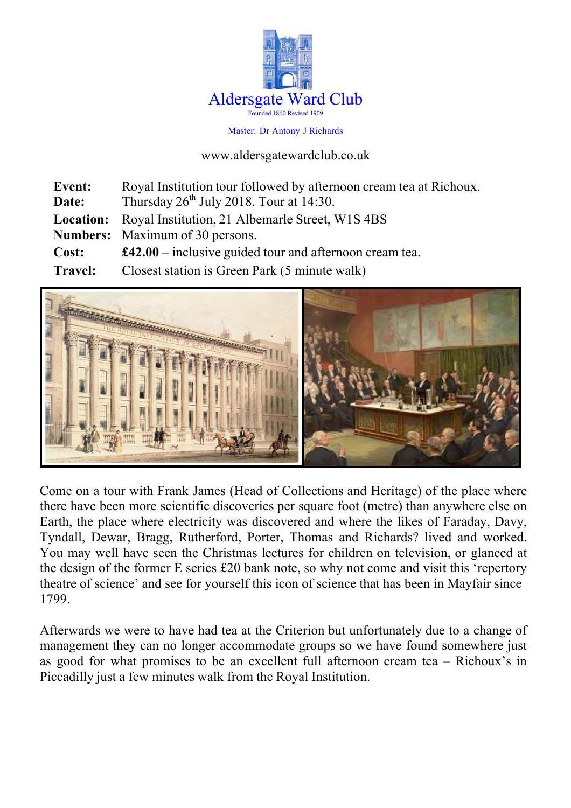

Master: Dr Antony J Richards

www.aldersgatewardclub.co.uk

| <b>Event:</b>  | Royal Institution tour followed by afternoon cream tea at Richoux. |
|----------------|--------------------------------------------------------------------|
| Date:          | Thursday $26th$ July 2018. Tour at 14:30.                          |
|                | <b>Location:</b> Royal Institution, 21 Albemarle Street, W1S 4BS   |
|                | <b>Numbers:</b> Maximum of 30 persons.                             |
| Cost:          | $\pounds42.00$ – inclusive guided tour and afternoon cream tea.    |
| <b>Travel:</b> | Closest station is Green Park (5 minute walk)                      |



Come on a tour with Frank James (Head of Collections and Heritage) of the place where there have been more scientific discoveries per square foot (metre) than anywhere else on Earth, the place where electricity was discovered and where the likes of Faraday, Davy, Tyndall, Dewar, Bragg, Rutherford, Porter, Thomas and Richards? lived and worked. You may well have seen the Christmas lectures for children on television, or glanced at the design of the former E series £20 bank note, so why not come and visit this 'repertory theatre of science' and see for yourself this icon of science that has been in Mayfair since 1799.

Afterwards we were to have had tea at the Criterion but unfortunately due to a change of management they can no longer accommodate groups so we have found somewhere just as good for what promises to be an excellent full afternoon cream tea – Richoux's in Piccadilly just a few minutes walk from the Royal Institution.